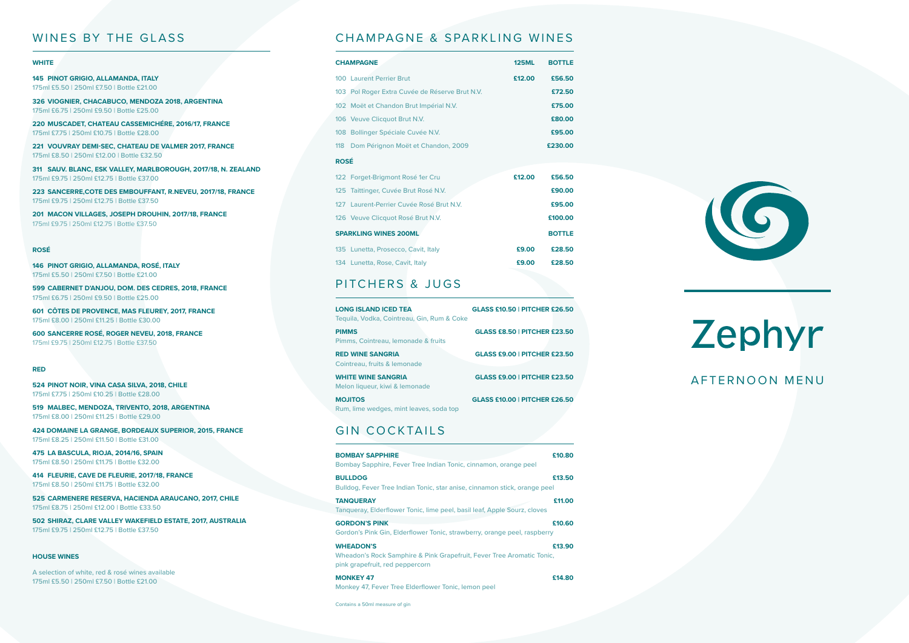# Zephyr AFTERNOON MENU

#### WINES BY THE GLASS

#### **WHITE**

**145 PINOT GRIGIO, ALLAMANDA, ITALY** 175ml £5.50 | 250ml £7.50 | Bottle £21.00

**326 VIOGNIER, CHACABUCO, MENDOZA 2018, ARGENTINA** 175ml £6.75 | 250ml £9.50 | Bottle £25.00

**220 MUSCADET, CHATEAU CASSEMICHÉRE, 2016/17, FRANCE** 175ml £7.75 | 250ml £10.75 | Bottle £28.00

**221 VOUVRAY DEMI-SEC, CHATEAU DE VALMER 2017, FRANCE** 175ml £8.50 | 250ml £12.00 | Bottle £32.50

**311 SAUV. BLANC, ESK VALLEY, MARLBOROUGH, 2017/18, N. ZEALAND** 175ml £9.75 | 250ml £12.75 | Bottle £37.00

**223 SANCERRE,COTE DES EMBOUFFANT, R.NEVEU, 2017/18, FRANCE** 175ml £9.75 | 250ml £12.75 | Bottle £37.50

**201 MACON VILLAGES, JOSEPH DROUHIN, 2017/18, FRANCE** 175ml £9.75 | 250ml £12.75 | Bottle £37.50

#### **ROSÉ**

**146 PINOT GRIGIO, ALLAMANDA, ROSÉ, ITALY** 175ml £5.50 | 250ml £7.50 | Bottle £21.00

**599 CABERNET D'ANJOU, DOM. DES CEDRES, 2018, FRANCE** 175ml £6.75 | 250ml £9.50 | Bottle £25.00

**601 CÔTES DE PROVENCE, MAS FLEUREY, 2017, FRANCE** 175ml £8.00 | 250ml £11.25 | Bottle £30.00

**600 SANCERRE ROSÉ, ROGER NEVEU, 2018, FRANCE** 175ml £9.75 | 250ml £12.75 | Bottle £37.50

#### **RED**

**524 PINOT NOIR, VINA CASA SILVA, 2018, CHILE** 175ml £7.75 | 250ml £10.25 | Bottle £28.00

**519 MALBEC, MENDOZA, TRIVENTO, 2018, ARGENTINA** 175ml £8.00 | 250ml £11.25 | Bottle £29.00

**424 DOMAINE LA GRANGE, BORDEAUX SUPERIOR, 2015, FRANCE** 175ml £8.25 | 250ml £11.50 | Bottle £31.00

**475 LA BASCULA, RIOJA, 2014/16, SPAIN** 175ml £8.50 | 250ml £11.75 | Bottle £32.00

**414 FLEURIE, CAVE DE FLEURIE, 2017/18, FRANCE** 175ml £8.50 | 250ml £11.75 | Bottle £32.00

**525 CARMENERE RESERVA, HACIENDA ARAUCANO, 2017, CHILE** 175ml £8.75 | 250ml £12.00 | Bottle £33.50

**502 SHIRAZ, CLARE VALLEY WAKEFIELD ESTATE, 2017, AUSTRALIA** 175ml £9.75 | 250ml £12.75 | Bottle £37.50

#### **HOUSE WINES**

A selection of white, red & rosé wines available 175ml £5.50 | 250ml £7.50 | Bottle £21.00

### CHAMPAGNE & SPARKLING WINES

| <b>CHAMPAGNE</b>             |                                                | <b>125ML</b>  | <b>BOTTLE</b> |
|------------------------------|------------------------------------------------|---------------|---------------|
|                              | 100 Laurent Perrier Brut                       | £12.00        | £56.50        |
|                              | 103 Pol Roger Extra Cuvée de Réserve Brut N.V. |               | £72.50        |
|                              | 102 Moët et Chandon Brut Impérial N.V.         |               | £75.00        |
|                              | 106 Veuve Clicquot Brut N.V.                   |               | £80.00        |
|                              | 108 Bollinger Spéciale Cuvée N.V.              |               | £95.00        |
|                              | 118 Dom Pérignon Moët et Chandon, 2009         |               | £230.00       |
| <b>ROSÉ</b>                  |                                                |               |               |
|                              | 122 Forget-Brigmont Rosé 1er Cru               | £12.00        | £56.50        |
|                              | 125 Taittinger, Cuvée Brut Rosé N.V.           |               | £90.00        |
|                              | 127 Laurent-Perrier Cuvée Rosé Brut N.V.       |               | £95.00        |
|                              | 126 Veuve Clicquot Rosé Brut N.V.              |               | £100.00       |
| <b>SPARKLING WINES 200ML</b> |                                                | <b>BOTTLE</b> |               |
|                              | 135 Lunetta, Prosecco, Cavit, Italy            | £9.00         | £28.50        |
|                              | 134 Lunetta, Rose, Cavit, Italy                | £9.00         | £28.50        |

# PITCHERS & JUGS

| <b>LONG ISLAND ICED TEA</b><br>Tequila, Vodka, Cointreau, Gin, Rum & Coke | <b>GLASS £10.50   PITCHER £26.50</b> |
|---------------------------------------------------------------------------|--------------------------------------|
| <b>PIMMS</b><br>Pimms, Cointreau, Iemonade & fruits                       | <b>GLASS £8.50   PITCHER £23.50</b>  |
| <b>RED WINE SANGRIA</b><br>Cointreau, fruits & lemonade                   | <b>GLASS £9.00   PITCHER £23.50</b>  |
| <b>WHITE WINE SANGRIA</b><br>Melon liqueur, kiwi & lemonade               | <b>GLASS £9.00   PITCHER £23.50</b>  |
| <b>MOJITOS</b><br>Rum, lime wedges, mint leaves, soda top                 | <b>GLASS £10.00   PITCHER £26.50</b> |

### GIN COCKTAILS

| <b>BOMBAY SAPPHIRE</b><br>Bombay Sapphire, Fever Tree Indian Tonic, cinnamon, orange peel                                    | £10.80 |
|------------------------------------------------------------------------------------------------------------------------------|--------|
| <b>BULLDOG</b><br>Bulldog, Fever Tree Indian Tonic, star anise, cinnamon stick, orange peel                                  | £13.50 |
| <b>TANQUERAY</b><br>Tangueray, Elderflower Tonic, lime peel, basil leaf, Apple Sourz, cloves                                 | £11.00 |
| <b>GORDON'S PINK</b><br>Gordon's Pink Gin, Elderflower Tonic, strawberry, orange peel, raspberry                             | £10.60 |
| <b>WHEADON'S</b><br>Wheadon's Rock Samphire & Pink Grapefruit, Fever Tree Aromatic Tonic,<br>pink grapefruit, red peppercorn | £13.90 |
| <b>MONKEY 47</b>                                                                                                             | £14.80 |

Monkey 47, Fever Tree Elderflower Tonic, lemon peel

Contains a 50ml measure of gin